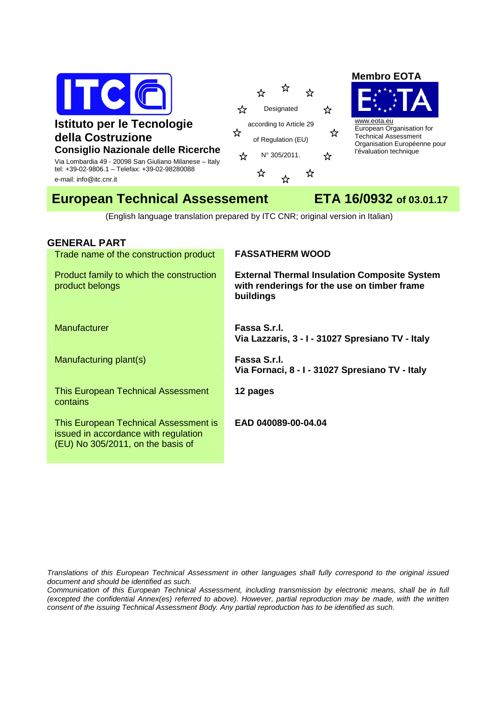

# **Istituto per le Tecnologie della Costruzione Consiglio Nazionale delle Ricerche**

Via Lombardia 49 - 20098 San Giuliano Milanese – Italy tel: +39-02-9806.1 – Telefax: +39-02-98280088 e-mail: info@itc.cnr.it



### **Membro EOTA**



www.eota.eu European Organisation for Technical Assessment Organisation Européenne pour l'évaluation technique

# **European Technical Assessement ETA 16/0932 of 03.01.17**

(English language translation prepared by ITC CNR; original version in Italian)

# **GENERAL PART**

## Trade name of the construction product **FASSATHERM WOOD**

Product family to which the construction product belongs

Manufacturer **Fassa S.r.l.** 

Manufacturing plant(s) **Fassa S.r.l.** 

This European Technical Assessment contains

This European Technical Assessment is issued in accordance with regulation (EU) No 305/2011, on the basis of

**with renderings for the use on timber frame buildings**

**External Thermal Insulation Composite System** 

**Via Lazzaris, 3 - I - 31027 Spresiano TV - Italy** 

**Via Fornaci, 8 - I - 31027 Spresiano TV - Italy** 

**12 pages** 

**EAD 040089-00-04.04** 

Translations of this European Technical Assessment in other languages shall fully correspond to the original issued document and should be identified as such.

Communication of this European Technical Assessment, including transmission by electronic means, shall be in full (excepted the confidential Annex(es) referred to above). However, partial reproduction may be made, with the written consent of the issuing Technical Assessment Body. Any partial reproduction has to be identified as such.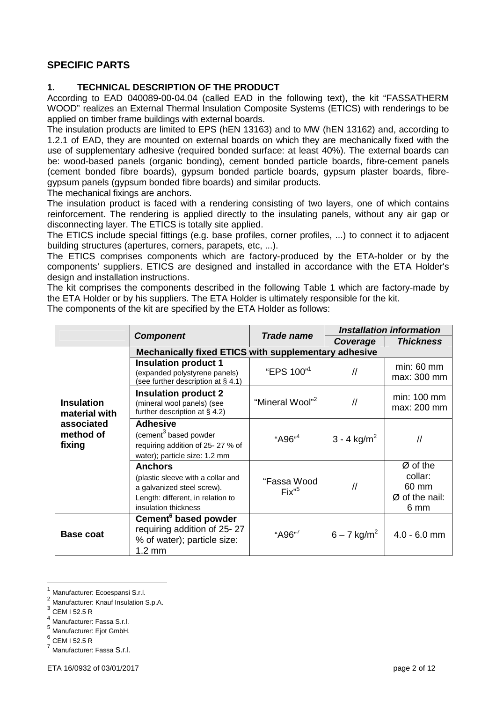# **SPECIFIC PARTS**

#### **1. TECHNICAL DESCRIPTION OF THE PRODUCT**

According to EAD 040089-00-04.04 (called EAD in the following text), the kit "FASSATHERM WOOD" realizes an External Thermal Insulation Composite Systems (ETICS) with renderings to be applied on timber frame buildings with external boards.

The insulation products are limited to EPS (hEN 13163) and to MW (hEN 13162) and, according to 1.2.1 of EAD, they are mounted on external boards on which they are mechanically fixed with the use of supplementary adhesive (required bonded surface: at least 40%). The external boards can be: wood-based panels (organic bonding), cement bonded particle boards, fibre-cement panels (cement bonded fibre boards), gypsum bonded particle boards, gypsum plaster boards, fibregypsum panels (gypsum bonded fibre boards) and similar products.

The mechanical fixings are anchors.

The insulation product is faced with a rendering consisting of two layers, one of which contains reinforcement. The rendering is applied directly to the insulating panels, without any air gap or disconnecting layer. The ETICS is totally site applied.

The ETICS include special fittings (e.g. base profiles, corner profiles, ...) to connect it to adjacent building structures (apertures, corners, parapets, etc, ...).

The ETICS comprises components which are factory-produced by the ETA-holder or by the components' suppliers. ETICS are designed and installed in accordance with the ETA Holder's design and installation instructions.

The kit comprises the components described in the following Table 1 which are factory-made by the ETA Holder or by his suppliers. The ETA Holder is ultimately responsible for the kit. The components of the kit are specified by the ETA Holder as follows:

|                                    | <b>Component</b>                                                                                                                               | <b>Trade name</b>                 | <b>Installation information</b>  |                                                          |
|------------------------------------|------------------------------------------------------------------------------------------------------------------------------------------------|-----------------------------------|----------------------------------|----------------------------------------------------------|
|                                    |                                                                                                                                                |                                   | Coverage                         | <b>Thickness</b>                                         |
|                                    | Mechanically fixed ETICS with supplementary adhesive                                                                                           |                                   |                                  |                                                          |
|                                    | <b>Insulation product 1</b><br>(expanded polystyrene panels)<br>(see further description at § 4.1)                                             | "EPS 100" <sup>1</sup>            | $\ensuremath{\mathnormal{/\!/}}$ | $min: 60$ mm<br>max: 300 mm                              |
| <b>Insulation</b><br>material with | <b>Insulation product 2</b><br>(mineral wool panels) (see<br>further description at $\S$ 4.2)                                                  | "Mineral Wool" <sup>2</sup>       | $\sqrt{ }$                       | min: 100 mm<br>max: 200 mm                               |
| associated<br>method of<br>fixing  | <b>Adhesive</b><br>(cement <sup>3</sup> based powder<br>requiring addition of 25-27 % of<br>water); particle size: 1.2 mm                      | "A96" <sup>4</sup>                | 3 - 4 $kg/m^2$                   | $\prime$                                                 |
|                                    | <b>Anchors</b><br>(plastic sleeve with a collar and<br>a galvanized steel screw).<br>Length: different, in relation to<br>insulation thickness | "Fassa Wood<br>Fix'' <sup>5</sup> | $\sqrt{ }$                       | Ø of the<br>collar:<br>60 mm<br>$Ø$ of the nail:<br>6 mm |
| <b>Base coat</b>                   | Cement <sup>6</sup> based powder<br>requiring addition of 25-27<br>% of water); particle size:<br>$1.2 \text{ mm}$                             | "A96" <sup>7</sup>                | $6 - 7$ kg/m <sup>2</sup>        | $4.0 - 6.0$ mm                                           |

<sup>1</sup> Manufacturer: Ecoespansi S.r.l.

 $\overline{a}$ 

<sup>&</sup>lt;sup>2</sup> Manufacturer: Knauf Insulation S.p.A.

<sup>3</sup> CEM I 52.5 R

<sup>4</sup> Manufacturer: Fassa S.r.l.

<sup>5</sup> Manufacturer: Ejot GmbH.

<sup>6</sup> CEM I 52.5 R

<sup>7</sup> Manufacturer: Fassa S.r.l.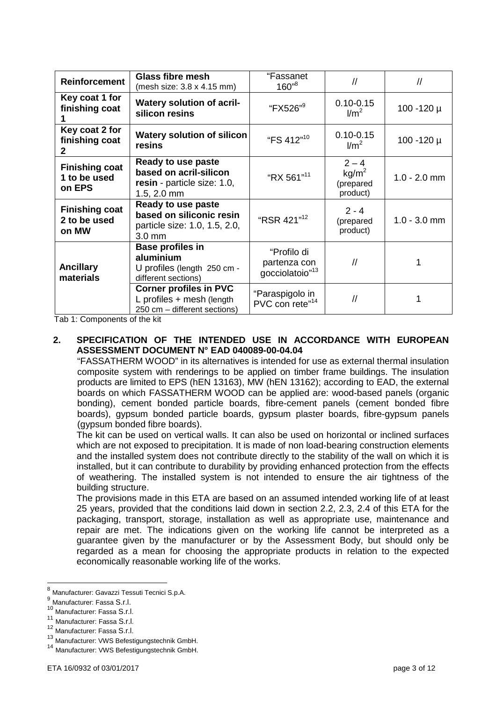| <b>Reinforcement</b>                             | <b>Glass fibre mesh</b><br>(mesh size: 3.8 x 4.15 mm)                                               | "Fassanet<br>$160^{9}$                                     | $\sqrt{ }$                                            | $\sqrt{ }$      |
|--------------------------------------------------|-----------------------------------------------------------------------------------------------------|------------------------------------------------------------|-------------------------------------------------------|-----------------|
| Key coat 1 for<br>finishing coat                 | <b>Watery solution of acril-</b><br>silicon resins                                                  | "FX526" <sup>9</sup>                                       | $0.10 - 0.15$<br>$\text{Im}^2$                        | 100 -120 µ      |
| Key coat 2 for<br>finishing coat<br>$\mathbf{2}$ | <b>Watery solution of silicon</b><br>resins                                                         | "FS 412"10                                                 | $0.10 - 0.15$<br>$\text{I/m}^2$                       | $100 - 120 \mu$ |
| <b>Finishing coat</b><br>1 to be used<br>on EPS  | Ready to use paste<br>based on acril-silicon<br>resin - particle size: 1.0,<br>$1.5, 2.0$ mm        | "RX 561"11                                                 | $2 - 4$<br>kg/m <sup>2</sup><br>(prepared<br>product) | $1.0 - 2.0$ mm  |
| <b>Finishing coat</b><br>2 to be used<br>on MW   | Ready to use paste<br>based on siliconic resin<br>particle size: 1.0, 1.5, 2.0,<br>$3.0 \text{ mm}$ | "RSR 421" <sup>12</sup>                                    | $2 - 4$<br>(prepared<br>product)                      | $1.0 - 3.0$ mm  |
| <b>Ancillary</b><br>materials                    | <b>Base profiles in</b><br>aluminium<br>U profiles (length 250 cm -<br>different sections)          | "Profilo di<br>partenza con<br>gocciolatoio" <sup>13</sup> | $\sqrt{}$                                             |                 |
|                                                  | <b>Corner profiles in PVC</b><br>L profiles $+$ mesh (length<br>250 cm - different sections)        | "Paraspigolo in<br>PVC con rete" <sup>14</sup>             | $\sqrt{}$                                             |                 |

Tab 1: Components of the kit

#### **2. SPECIFICATION OF THE INTENDED USE IN ACCORDANCE WITH EUROPEAN ASSESSMENT DOCUMENT N° EAD 040089-00-04.04**

"FASSATHERM WOOD" in its alternatives is intended for use as external thermal insulation composite system with renderings to be applied on timber frame buildings. The insulation products are limited to EPS (hEN 13163), MW (hEN 13162); according to EAD, the external boards on which FASSATHERM WOOD can be applied are: wood-based panels (organic bonding), cement bonded particle boards, fibre-cement panels (cement bonded fibre boards), gypsum bonded particle boards, gypsum plaster boards, fibre-gypsum panels (gypsum bonded fibre boards).

 The kit can be used on vertical walls. It can also be used on horizontal or inclined surfaces which are not exposed to precipitation. It is made of non load-bearing construction elements and the installed system does not contribute directly to the stability of the wall on which it is installed, but it can contribute to durability by providing enhanced protection from the effects of weathering. The installed system is not intended to ensure the air tightness of the building structure.

 The provisions made in this ETA are based on an assumed intended working life of at least 25 years, provided that the conditions laid down in section 2.2, 2.3, 2.4 of this ETA for the packaging, transport, storage, installation as well as appropriate use, maintenance and repair are met. The indications given on the working life cannot be interpreted as a guarantee given by the manufacturer or by the Assessment Body, but should only be regarded as a mean for choosing the appropriate products in relation to the expected economically reasonable working life of the works.

 $\overline{a}$ 

<sup>&</sup>lt;sup>8</sup> Manufacturer: Gavazzi Tessuti Tecnici S.p.A.

<sup>&</sup>lt;sup>9</sup> Manufacturer: Fassa S.r.l.

<sup>10&</sup>lt;br>Manufacturer: Fassa S.r.l.

<sup>11</sup> Manufacturer: Fassa S.r.l.

Manufacturer: Fassa S.r.l.

<sup>13</sup> Manufacturer: VWS Befestigungstechnik GmbH.

<sup>14</sup> Manufacturer: VWS Befestigungstechnik GmbH.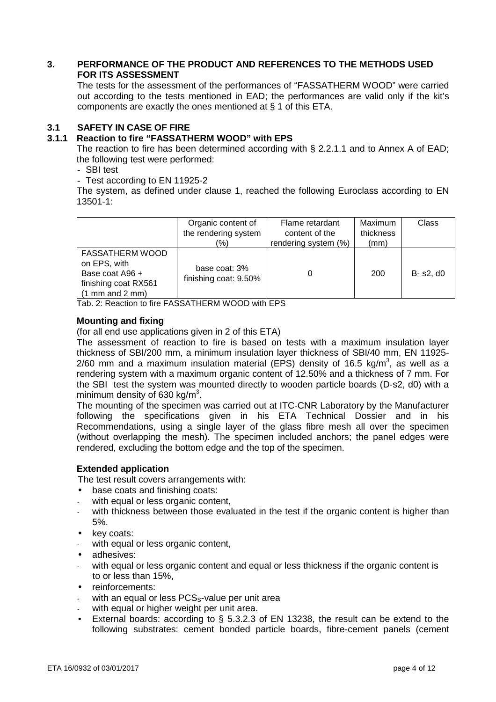#### **3. PERFORMANCE OF THE PRODUCT AND REFERENCES TO THE METHODS USED FOR ITS ASSESSMENT**

The tests for the assessment of the performances of "FASSATHERM WOOD" were carried out according to the tests mentioned in EAD; the performances are valid only if the kit's components are exactly the ones mentioned at § 1 of this ETA.

#### **3.1 SAFETY IN CASE OF FIRE**

#### **3.1.1 Reaction to fire "FASSATHERM WOOD" with EPS**

The reaction to fire has been determined according with § 2.2.1.1 and to Annex A of EAD; the following test were performed:

- SBI test

- Test according to EN 11925-2

The system, as defined under clause 1, reached the following Euroclass according to EN 13501-1:

|                                                                                                                          | Organic content of<br>the rendering system<br>(%) | Flame retardant<br>content of the<br>rendering system (%) | Maximum<br>thickness<br>(mm) | Class     |
|--------------------------------------------------------------------------------------------------------------------------|---------------------------------------------------|-----------------------------------------------------------|------------------------------|-----------|
| <b>FASSATHERM WOOD</b><br>on EPS, with<br>Base coat A96 +<br>finishing coat RX561<br>$(1 \text{ mm}$ and $2 \text{ mm})$ | base coat: 3%<br>finishing coat: 9.50%            |                                                           | 200                          | B- s2, d0 |

Tab. 2: Reaction to fire FASSATHERM WOOD with EPS

#### **Mounting and fixing**

(for all end use applications given in 2 of this ETA)

The assessment of reaction to fire is based on tests with a maximum insulation layer thickness of SBI/200 mm, a minimum insulation layer thickness of SBI/40 mm, EN 11925- 2/60 mm and a maximum insulation material (EPS) density of 16.5 kg/m<sup>3</sup>, as well as a rendering system with a maximum organic content of 12.50% and a thickness of 7 mm. For the SBI test the system was mounted directly to wooden particle boards (D-s2, d0) with a minimum density of 630 kg/m<sup>3</sup>.

 The mounting of the specimen was carried out at ITC-CNR Laboratory by the Manufacturer following the specifications given in his ETA Technical Dossier and in his Recommendations, using a single layer of the glass fibre mesh all over the specimen (without overlapping the mesh). The specimen included anchors; the panel edges were rendered, excluding the bottom edge and the top of the specimen.

#### **Extended application**

The test result covers arrangements with:

- base coats and finishing coats:
- with equal or less organic content,
- with thickness between those evaluated in the test if the organic content is higher than 5%.
- key coats:
- with equal or less organic content,
- adhesives:
- with equal or less organic content and equal or less thickness if the organic content is to or less than 15%,
- reinforcements:
- with an equal or less  $PCS<sub>s</sub>$ -value per unit area
- with equal or higher weight per unit area.
- External boards: according to § 5.3.2.3 of EN 13238, the result can be extend to the following substrates: cement bonded particle boards, fibre-cement panels (cement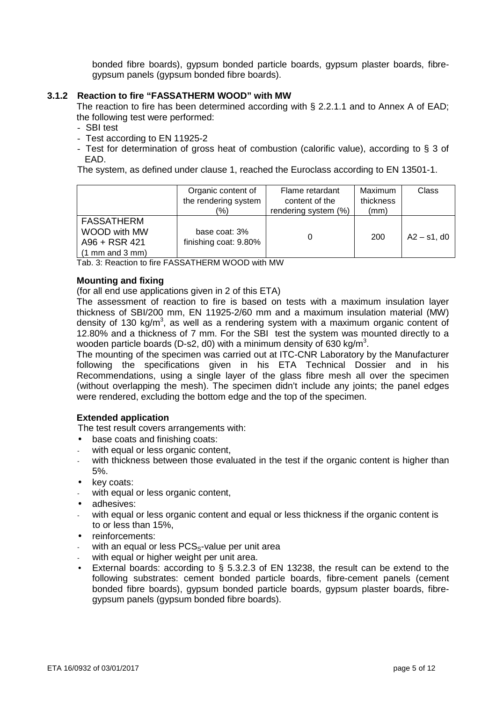bonded fibre boards), gypsum bonded particle boards, gypsum plaster boards, fibregypsum panels (gypsum bonded fibre boards).

#### **3.1.2 Reaction to fire "FASSATHERM WOOD" with MW**

The reaction to fire has been determined according with § 2.2.1.1 and to Annex A of EAD; the following test were performed:

- SBI test
- Test according to EN 11925-2
- Test for determination of gross heat of combustion (calorific value), according to § 3 of EAD.

The system, as defined under clause 1, reached the Euroclass according to EN 13501-1.

|                                                                                           | Organic content of<br>the rendering system<br>(%) | Flame retardant<br>content of the<br>rendering system (%) | Maximum<br>thickness<br>(mm) | Class          |
|-------------------------------------------------------------------------------------------|---------------------------------------------------|-----------------------------------------------------------|------------------------------|----------------|
| <b>FASSATHERM</b><br>WOOD with MW<br>A96 + RSR 421<br>$(1 \text{ mm}$ and $3 \text{ mm})$ | base coat: 3%<br>finishing coat: 9.80%            | 0                                                         | 200                          | $A2 - s1$ , d0 |

Tab. 3: Reaction to fire FASSATHERM WOOD with MW

#### **Mounting and fixing**

(for all end use applications given in 2 of this ETA)

The assessment of reaction to fire is based on tests with a maximum insulation layer thickness of SBI/200 mm, EN 11925-2/60 mm and a maximum insulation material (MW) density of 130 kg/m<sup>3</sup>, as well as a rendering system with a maximum organic content of 12.80% and a thickness of 7 mm. For the SBI test the system was mounted directly to a wooden particle boards (D-s2, d0) with a minimum density of 630 kg/m<sup>3</sup>.

The mounting of the specimen was carried out at ITC-CNR Laboratory by the Manufacturer following the specifications given in his ETA Technical Dossier and in his Recommendations, using a single layer of the glass fibre mesh all over the specimen (without overlapping the mesh). The specimen didn't include any joints; the panel edges were rendered, excluding the bottom edge and the top of the specimen.

#### **Extended application**

The test result covers arrangements with:

- base coats and finishing coats:
- with equal or less organic content,
- with thickness between those evaluated in the test if the organic content is higher than 5%.
- key coats:
- with equal or less organic content.
- adhesives:
- with equal or less organic content and equal or less thickness if the organic content is to or less than 15%,
- reinforcements:
- with an equal or less  $PCS<sub>s</sub>$ -value per unit area
- with equal or higher weight per unit area.
- External boards: according to  $\S$  5.3.2.3 of EN 13238, the result can be extend to the following substrates: cement bonded particle boards, fibre-cement panels (cement bonded fibre boards), gypsum bonded particle boards, gypsum plaster boards, fibregypsum panels (gypsum bonded fibre boards).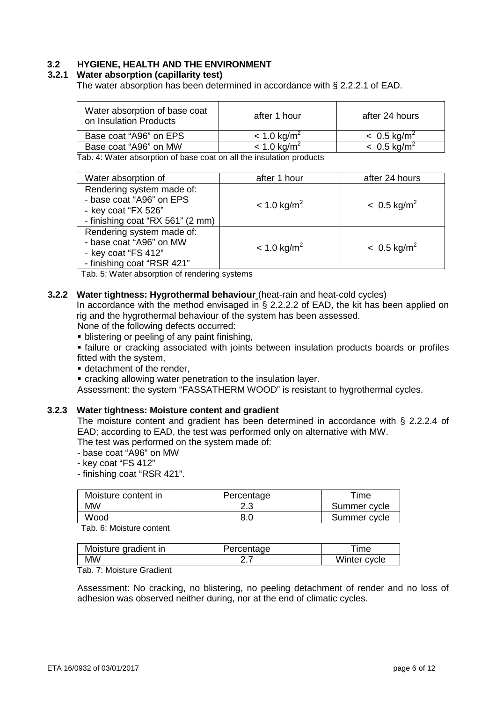## **3.2 HYGIENE, HEALTH AND THE ENVIRONMENT**

#### **3.2.1 Water absorption (capillarity test)**

The water absorption has been determined in accordance with § 2.2.2.1 of EAD.

| Water absorption of base coat<br>on Insulation Products | after 1 hour              | after 24 hours            |
|---------------------------------------------------------|---------------------------|---------------------------|
| Base coat "A96" on EPS                                  | $< 1.0$ kg/m <sup>2</sup> | $< 0.5$ kg/m <sup>2</sup> |
| Base coat "A96" on MW                                   | $< 1.0$ kg/m <sup>2</sup> | $< 0.5$ kg/m <sup>2</sup> |

Tab. 4: Water absorption of base coat on all the insulation products

| Water absorption of                                                                                              | after 1 hour              | after 24 hours            |
|------------------------------------------------------------------------------------------------------------------|---------------------------|---------------------------|
| Rendering system made of:<br>- base coat "A96" on EPS<br>- key coat "FX 526"<br>- finishing coat "RX 561" (2 mm) | $< 1.0$ kg/m <sup>2</sup> | $< 0.5$ kg/m <sup>2</sup> |
| Rendering system made of:<br>- base coat "A96" on MW<br>- key coat "FS 412"<br>- finishing coat "RSR 421"        | $< 1.0$ kg/m <sup>2</sup> | $< 0.5$ kg/m <sup>2</sup> |

Tab. 5: Water absorption of rendering systems

#### **3.2.2 Water tightness: Hygrothermal behaviour** (heat-rain and heat-cold cycles)

In accordance with the method envisaged in § 2.2.2.2 of EAD, the kit has been applied on rig and the hygrothermal behaviour of the system has been assessed.

None of the following defects occurred:

**• blistering or peeling of any paint finishing,** 

 failure or cracking associated with joints between insulation products boards or profiles fitted with the system,

**detachment of the render,** 

cracking allowing water penetration to the insulation layer.

Assessment: the system "FASSATHERM WOOD" is resistant to hygrothermal cycles.

#### **3.2.3 Water tightness: Moisture content and gradient**

The moisture content and gradient has been determined in accordance with § 2.2.2.4 of EAD; according to EAD, the test was performed only on alternative with MW.

The test was performed on the system made of:

- base coat "A96" on MW

- key coat "FS 412"

- finishing coat "RSR 421".

| Moisture content in | Percentage | Time         |
|---------------------|------------|--------------|
| ΜW                  | د.ء        | Summer cycle |
| Wood                |            | Summer cycle |

Tab. 6: Moisture content

| Moisture gradient in | Percentage | ime          |
|----------------------|------------|--------------|
| MW                   |            | Winter cycle |

Tab. 7: Moisture Gradient

Assessment: No cracking, no blistering, no peeling detachment of render and no loss of adhesion was observed neither during, nor at the end of climatic cycles.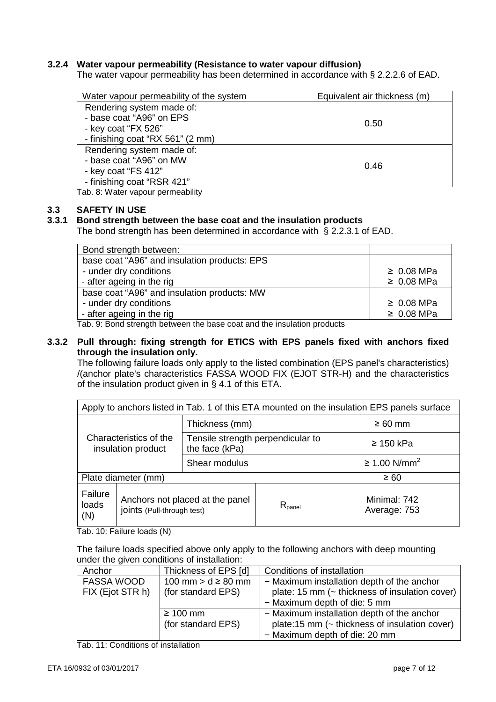#### **3.2.4 Water vapour permeability (Resistance to water vapour diffusion)**

The water vapour permeability has been determined in accordance with § 2.2.2.6 of EAD.

| Water vapour permeability of the system | Equivalent air thickness (m) |
|-----------------------------------------|------------------------------|
| Rendering system made of:               |                              |
| - base coat "A96" on EPS                | 0.50                         |
| - key coat "FX 526"                     |                              |
| - finishing coat "RX 561" (2 mm)        |                              |
| Rendering system made of:               |                              |
| - base coat "A96" on MW                 | 0.46                         |
| - key coat "FS 412"                     |                              |
| - finishing coat "RSR 421"              |                              |

Tab. 8: Water vapour permeability

#### **3.3 SAFETY IN USE**

#### **3.3.1 Bond strength between the base coat and the insulation products**

The bond strength has been determined in accordance with § 2.2.3.1 of EAD.

| Bond strength between:                                                   |                 |
|--------------------------------------------------------------------------|-----------------|
| base coat "A96" and insulation products: EPS                             |                 |
| - under dry conditions                                                   | $\geq 0.08$ MPa |
| - after ageing in the rig                                                | $\geq 0.08$ MPa |
| base coat "A96" and insulation products: MW                              |                 |
| - under dry conditions                                                   | $\geq 0.08$ MPa |
| - after ageing in the rig                                                | $\geq 0.08$ MPa |
| Tek O. Denal strongth hot usen the hoos seat and the inculation needucte |                 |

Tab. 9: Bond strength between the base coat and the insulation products

#### **3.3.2 Pull through: fixing strength for ETICS with EPS panels fixed with anchors fixed through the insulation only.**

The following failure loads only apply to the listed combination (EPS panel's characteristics) /(anchor plate's characteristics FASSA WOOD FIX (EJOT STR-H) and the characteristics of the insulation product given in § 4.1 of this ETA.

|                                              | Apply to anchors listed in Tab. 1 of this ETA mounted on the insulation EPS panels surface |                                                     |                    |                              |
|----------------------------------------------|--------------------------------------------------------------------------------------------|-----------------------------------------------------|--------------------|------------------------------|
| Characteristics of the<br>insulation product |                                                                                            | Thickness (mm)                                      |                    | $\geq 60$ mm                 |
|                                              |                                                                                            | Tensile strength perpendicular to<br>the face (kPa) |                    | $\geq$ 150 kPa               |
|                                              |                                                                                            | Shear modulus                                       |                    | $≥ 1.00$ N/mm <sup>2</sup>   |
| Plate diameter (mm)                          |                                                                                            |                                                     | $\geq 60$          |                              |
| Failure<br>loads<br>(N)                      | Anchors not placed at the panel<br>joints (Pull-through test)                              |                                                     | $R_{\text{panel}}$ | Minimal: 742<br>Average: 753 |

Tab. 10: Failure loads (N)

The failure loads specified above only apply to the following anchors with deep mounting under the given conditions of installation:

| Anchor            | Thickness of EPS [d]   | Conditions of installation                     |
|-------------------|------------------------|------------------------------------------------|
| <b>FASSA WOOD</b> | 100 mm > $d \ge 80$ mm | - Maximum installation depth of the anchor     |
| FIX (Ejot STR h)  | (for standard EPS)     | plate: 15 mm (~ thickness of insulation cover) |
|                   |                        | - Maximum depth of die: 5 mm                   |
|                   | $\geq 100$ mm          | - Maximum installation depth of the anchor     |
|                   | (for standard EPS)     | plate:15 mm (~ thickness of insulation cover)  |
|                   |                        | - Maximum depth of die: 20 mm                  |

Tab. 11: Conditions of installation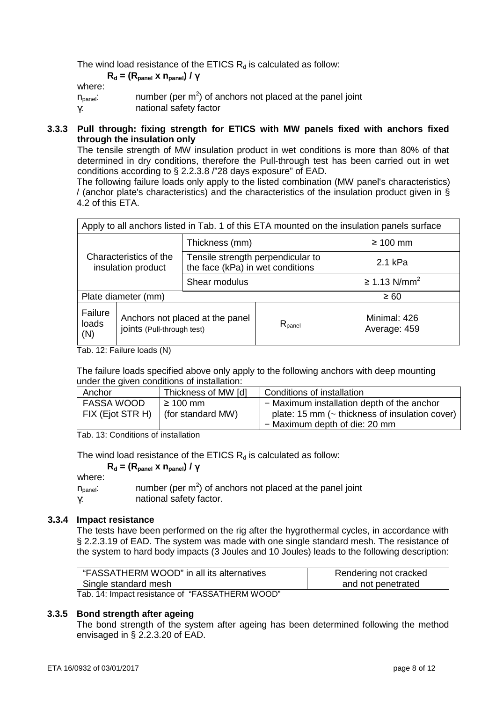The wind load resistance of the ETICS  $R_d$  is calculated as follow:

#### **R**<sub>d</sub> = (R<sub>panel</sub> x n<sub>panel</sub>) / γ

where:

| VIII               |                                                             |
|--------------------|-------------------------------------------------------------|
| $n_{\text{panel}}$ | number (per $m2$ ) of anchors not placed at the panel joint |
| γ.                 | national safety factor                                      |

#### **3.3.3 Pull through: fixing strength for ETICS with MW panels fixed with anchors fixed through the insulation only**

The tensile strength of MW insulation product in wet conditions is more than 80% of that determined in dry conditions, therefore the Pull-through test has been carried out in wet conditions according to § 2.2.3.8 /"28 days exposure" of EAD.

The following failure loads only apply to the listed combination (MW panel's characteristics) / (anchor plate's characteristics) and the characteristics of the insulation product given in § 4.2 of this ETA.

| Apply to all anchors listed in Tab. 1 of this ETA mounted on the insulation panels surface |  |                                                                       |                              |                            |
|--------------------------------------------------------------------------------------------|--|-----------------------------------------------------------------------|------------------------------|----------------------------|
| Characteristics of the<br>insulation product                                               |  | Thickness (mm)                                                        |                              | $\geq 100$ mm              |
|                                                                                            |  | Tensile strength perpendicular to<br>the face (kPa) in wet conditions |                              | 2.1 kPa                    |
|                                                                                            |  | Shear modulus                                                         |                              | $≥ 1.13$ N/mm <sup>2</sup> |
| Plate diameter (mm)                                                                        |  |                                                                       |                              | $\geq 60$                  |
| Failure<br>Anchors not placed at the panel<br>loads<br>joints (Pull-through test)<br>(N)   |  | $R_{\text{panel}}$                                                    | Minimal: 426<br>Average: 459 |                            |

Tab. 12: Failure loads (N)

The failure loads specified above only apply to the following anchors with deep mounting under the given conditions of installation:

| Anchor            | Thickness of MW [d] | Conditions of installation                           |
|-------------------|---------------------|------------------------------------------------------|
| <b>FASSA WOOD</b> | $\geq 100$ mm       | - Maximum installation depth of the anchor           |
| FIX (Ejot STR H)  | (for standard MW)   | plate: 15 mm ( $\sim$ thickness of insulation cover) |
|                   |                     | - Maximum depth of die: 20 mm                        |

Tab. 13: Conditions of installation

The wind load resistance of the ETICS  $R_d$  is calculated as follow:

 $R_d = (R_{\text{panel}} \times n_{\text{panel}}) / \gamma$ 

where:

 $n_{\text{panel}}$ : number (per m<sup>2</sup>) of anchors not placed at the panel joint γ: national safety factor.

#### **3.3.4 Impact resistance**

The tests have been performed on the rig after the hygrothermal cycles, in accordance with § 2.2.3.19 of EAD. The system was made with one single standard mesh. The resistance of the system to hard body impacts (3 Joules and 10 Joules) leads to the following description:

| "FASSATHERM WOOD" in all its alternatives       | Rendering not cracked |
|-------------------------------------------------|-----------------------|
| Single standard mesh                            | and not penetrated    |
| Tab. 14: Impact resistance of "FASSATHERM WOOD" |                       |

#### **3.3.5 Bond strength after ageing**

The bond strength of the system after ageing has been determined following the method envisaged in § 2.2.3.20 of EAD.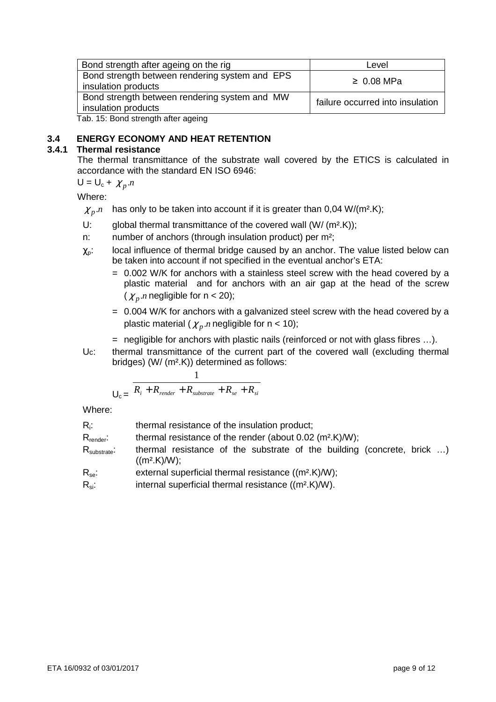| Bond strength after ageing on the rig                                 | Level                            |
|-----------------------------------------------------------------------|----------------------------------|
| Bond strength between rendering system and EPS<br>insulation products | $\geq 0.08$ MPa                  |
| Bond strength between rendering system and MW<br>insulation products  | failure occurred into insulation |
| Tab. 15: Bond strength after ageing                                   |                                  |

#### **3.4 ENERGY ECONOMY AND HEAT RETENTION**

#### **3.4.1 Thermal resistance**

The thermal transmittance of the substrate wall covered by the ETICS is calculated in accordance with the standard EN ISO 6946:

$$
U = U_c + \chi_p.n
$$

Where:

- $\chi_{p}$  *n* has only to be taken into account if it is greater than 0,04 W/(m<sup>2</sup>.K);
- U: global thermal transmittance of the covered wall (W/ (m<sup>2</sup>.K));
- n: number of anchors (through insulation product) per m<sup>2</sup>;
- $\chi_{\text{o}}$ : local influence of thermal bridge caused by an anchor. The value listed below can be taken into account if not specified in the eventual anchor's ETA:
	- = 0.002 W/K for anchors with a stainless steel screw with the head covered by a plastic material and for anchors with an air gap at the head of the screw  $(\chi_n$  *n* negligible for n < 20);
	- = 0.004 W/K for anchors with a galvanized steel screw with the head covered by a plastic material ( $\chi_p$  *n* negligible for n < 10);
	- = negligible for anchors with plastic nails (reinforced or not with glass fibres …).
- Uc: thermal transmittance of the current part of the covered wall (excluding thermal bridges) (W/ (m².K)) determined as follows:

$$
U_c = \frac{R_i + R_{\text{render}} + R_{\text{substrate}} + R_{\text{se}} + R_{\text{si}}}{R_i + R_{\text{se}} + R_{\text{si}}}
$$

1

Where:

| $R_i$ :<br>$R_{\text{render}}$ :    | thermal resistance of the insulation product;<br>thermal resistance of the render (about $0.02$ (m <sup>2</sup> .K)/W); |
|-------------------------------------|-------------------------------------------------------------------------------------------------------------------------|
| $\mathsf{R}_{\mathsf{substrate}}$ : | thermal resistance of the substrate of the building (concrete, brick )<br>$((m2.K) / W)$ ;                              |
| $R_{se}$ :                          | external superficial thermal resistance ((m <sup>2</sup> .K)/W);                                                        |
| $R_{si}$ :                          | internal superficial thermal resistance ((m <sup>2</sup> .K)/W).                                                        |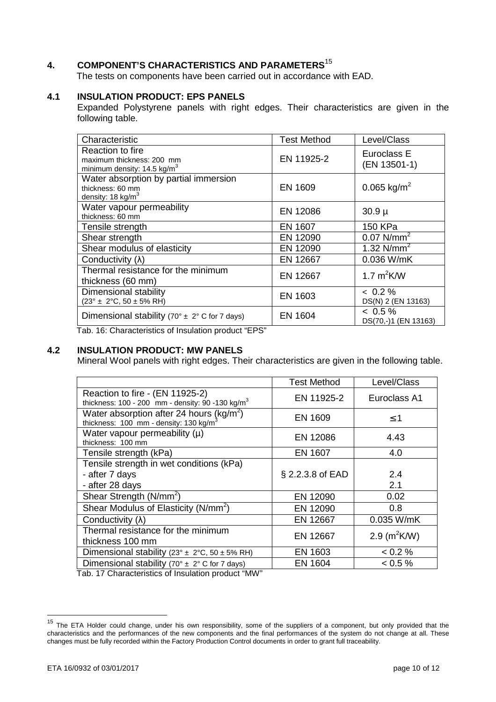# **4. COMPONENT'S CHARACTERISTICS AND PARAMETERS**<sup>15</sup>

The tests on components have been carried out in accordance with EAD.

#### **4.1 INSULATION PRODUCT: EPS PANELS**

 Expanded Polystyrene panels with right edges. Their characteristics are given in the following table.

| Characteristic                                                                            | <b>Test Method</b> | Level/Class                        |
|-------------------------------------------------------------------------------------------|--------------------|------------------------------------|
| Reaction to fire<br>maximum thickness: 200 mm<br>minimum density: $14.5 \text{ kg/m}^3$   | EN 11925-2         | Euroclass E<br>(EN 13501-1)        |
| Water absorption by partial immersion<br>thickness: 60 mm<br>density: $18 \text{ kg/m}^3$ | <b>EN 1609</b>     | $0.065$ kg/m <sup>2</sup>          |
| Water vapour permeability<br>thickness: 60 mm                                             | EN 12086           | $30.9 \mu$                         |
| Tensile strength                                                                          | <b>EN 1607</b>     | 150 KPa                            |
| Shear strength                                                                            | EN 12090           | $0.07$ N/mm <sup>2</sup>           |
| Shear modulus of elasticity                                                               | EN 12090           | 1.32 $N/mm^2$                      |
| Conductivity ( $\lambda$ )                                                                | EN 12667           | 0.036 W/mK                         |
| Thermal resistance for the minimum<br>thickness (60 mm)                                   | EN 12667           | 1.7 $m^2$ K/W                      |
| Dimensional stability<br>$(23^{\circ} \pm 2^{\circ}C, 50 \pm 5\% \text{ RH})$             | EN 1603            | $< 0.2 \%$<br>DS(N) 2 (EN 13163)   |
| Dimensional stability (70° $\pm$ 2° C for 7 days)                                         | <b>EN 1604</b>     | $< 0.5 \%$<br>DS(70,-)1 (EN 13163) |

Tab. 16: Characteristics of Insulation product "EPS"

#### **4.2 INSULATION PRODUCT: MW PANELS**

Mineral Wool panels with right edges. Their characteristics are given in the following table.

|                                                                                                             | <b>Test Method</b> | Level/Class      |
|-------------------------------------------------------------------------------------------------------------|--------------------|------------------|
| Reaction to fire - (EN 11925-2)<br>thickness: $100 - 200$ mm - density: 90 -130 kg/m <sup>3</sup>           | EN 11925-2         | Euroclass A1     |
| Water absorption after 24 hours ( $kg/m^2$ )<br>thickness: $100 \text{ mm}$ - density: $130 \text{ kg/m}^3$ | EN 1609            | $\leq$ 1         |
| Water vapour permeability $(\mu)$<br>thickness: 100 mm                                                      | EN 12086           | 4.43             |
| Tensile strength (kPa)                                                                                      | EN 1607            | 4.0              |
| Tensile strength in wet conditions (kPa)                                                                    |                    |                  |
| - after 7 days                                                                                              | § 2.2.3.8 of EAD   | 2.4              |
| - after 28 days                                                                                             |                    | 2.1              |
| Shear Strength (N/mm <sup>2</sup> )                                                                         | EN 12090           | 0.02             |
| Shear Modulus of Elasticity (N/mm <sup>2</sup> )                                                            | EN 12090           | 0.8              |
| Conductivity ( $\lambda$ )                                                                                  | EN 12667           | 0.035 W/mK       |
| Thermal resistance for the minimum                                                                          | EN 12667           | 2.9 ( $m^2$ K/W) |
| thickness 100 mm                                                                                            |                    |                  |
| Dimensional stability (23° $\pm$ 2°C, 50 $\pm$ 5% RH)                                                       | EN 1603            | < 0.2 %          |
| Dimensional stability (70° $\pm$ 2° C for 7 days)                                                           | EN 1604            | $0.5\%$          |

Tab. 17 Characteristics of Insulation product "MW"

 $\overline{\phantom{a}}$ 

<sup>&</sup>lt;sup>15</sup> The ETA Holder could change, under his own responsibility, some of the suppliers of a component, but only provided that the characteristics and the performances of the new components and the final performances of the system do not change at all. These changes must be fully recorded within the Factory Production Control documents in order to grant full traceability.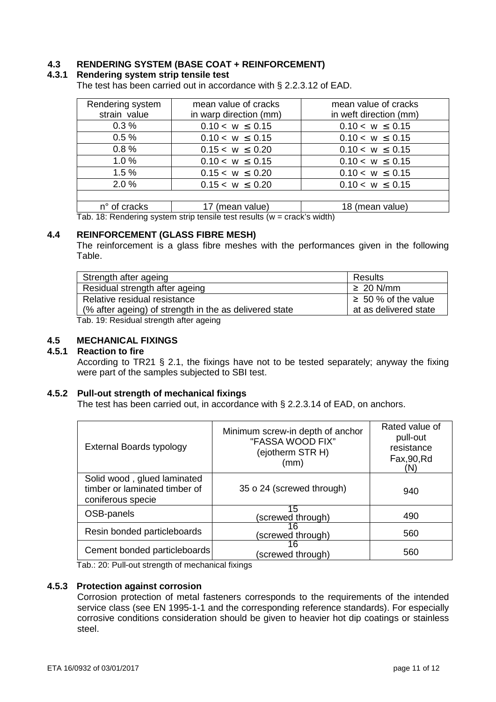#### **4.3 RENDERING SYSTEM (BASE COAT + REINFORCEMENT)**

#### **4.3.1 Rendering system strip tensile test**

The test has been carried out in accordance with § 2.2.3.12 of EAD.

| Rendering system                                                         | mean value of cracks   | mean value of cracks   |  |
|--------------------------------------------------------------------------|------------------------|------------------------|--|
| strain value                                                             | in warp direction (mm) | in weft direction (mm) |  |
| 0.3%                                                                     | $0.10 < w \le 0.15$    | $0.10 < w \le 0.15$    |  |
| 0.5%                                                                     | $0.10 < w \le 0.15$    | $0.10 < w \le 0.15$    |  |
| 0.8%                                                                     | $0.15 < w \leq 0.20$   | $0.10 < w \le 0.15$    |  |
| 1.0%                                                                     | $0.10 < w \leq 0.15$   | $0.10 < w \leq 0.15$   |  |
| 1.5%                                                                     | $0.15 < w \leq 0.20$   | $0.10 < w \le 0.15$    |  |
| 2.0%                                                                     | $0.15 < w \leq 0.20$   | $0.10 < w \leq 0.15$   |  |
|                                                                          |                        |                        |  |
| n° of cracks                                                             | 17 (mean value)        | 18 (mean value)        |  |
| Tak $40.$ Dendesian ovatom atsin tanaila taat saavita (uu asaalda width) |                        |                        |  |

Tab. 18: Rendering system strip tensile test results (w = crack's width)

#### **4.4 REINFORCEMENT (GLASS FIBRE MESH)**

The reinforcement is a glass fibre meshes with the performances given in the following Table.

| Strength after ageing                                  | Results                  |
|--------------------------------------------------------|--------------------------|
| Residual strength after ageing                         | $\geq 20$ N/mm           |
| Relative residual resistance                           | $\geq 50$ % of the value |
| (% after ageing) of strength in the as delivered state | at as delivered state    |
| Tab 19: Residual strength after ageing                 |                          |

Tab. 19: Residual strength after ageing

# **4.5 MECHANICAL FIXINGS**

#### **4.5.1 Reaction to fire**

According to TR21 § 2.1, the fixings have not to be tested separately; anyway the fixing were part of the samples subjected to SBI test.

#### **4.5.2 Pull-out strength of mechanical fixings**

The test has been carried out, in accordance with § 2.2.3.14 of EAD, on anchors.

| External Boards typology                                                          | Minimum screw-in depth of anchor<br>"FASSA WOOD FIX"<br>(ejotherm STR H)<br>(mm) | Rated value of<br>pull-out<br>resistance<br>Fax,90, Rd<br>(N) |
|-----------------------------------------------------------------------------------|----------------------------------------------------------------------------------|---------------------------------------------------------------|
| Solid wood, glued laminated<br>timber or laminated timber of<br>coniferous specie | 35 o 24 (screwed through)                                                        | 940                                                           |
| OSB-panels                                                                        | 15<br>(screwed through)                                                          | 490                                                           |
| Resin bonded particleboards                                                       | 16<br>(screwed through)                                                          | 560                                                           |
| Cement bonded particleboards                                                      | 16<br>(screwed through)                                                          | 560                                                           |

Tab.: 20: Pull-out strength of mechanical fixings

#### **4.5.3 Protection against corrosion**

Corrosion protection of metal fasteners corresponds to the requirements of the intended service class (see EN 1995-1-1 and the corresponding reference standards). For especially corrosive conditions consideration should be given to heavier hot dip coatings or stainless steel.